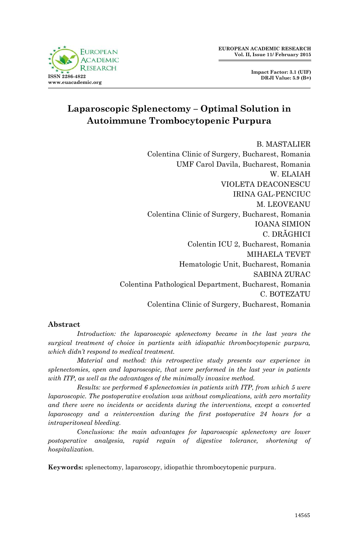

**Impact Factor: 3.1 (UIF) DRJI Value: 5.9 (B+)**

# **Laparoscopic Splenectomy – Optimal Solution in Autoimmune Trombocytopenic Purpura**

B. MASTALIER Colentina Clinic of Surgery, Bucharest, Romania UMF Carol Davila, Bucharest, Romania W. ELAIAH VIOLETA DEACONESCU IRINA GAL-PENCIUC M. LEOVEANU Colentina Clinic of Surgery, Bucharest, Romania IOANA SIMION C. DRĂGHICI Colentin ICU 2, Bucharest, Romania MIHAELA TEVET Hematologic Unit, Bucharest, Romania SABINA ZURAC Colentina Pathological Department, Bucharest, Romania C. BOTEZATU Colentina Clinic of Surgery, Bucharest, Romania

### **Abstract**

*Introduction: the laparoscopic splenectomy became in the last years the surgical treatment of choice in partients with idiopathic thrombocytopenic purpura, which didn't respond to medical treatment.*

*Material and method: this retrospective study presents our experience in splenectomies, open and laparoscopic, that were performed in the last year in patients with ITP, as well as the advantages of the minimally invasive method.*

*Results: we performed 6 splenectomies in patients with ITP, from which 5 were laparoscopic. The postoperative evolution was without complications, with zero mortality and there were no incidents or accidents during the interventions, except a converted laparoscopy and a reintervention during the first postoperative 24 hours for a intraperitoneal bleeding.*

*Conclusions: the main advantages for laparoscopic splenectomy are lower postoperative analgesia, rapid regain of digestive tolerance, shortening of hospitalization.*

**Keywords:** splenectomy, laparoscopy, idiopathic thrombocytopenic purpura.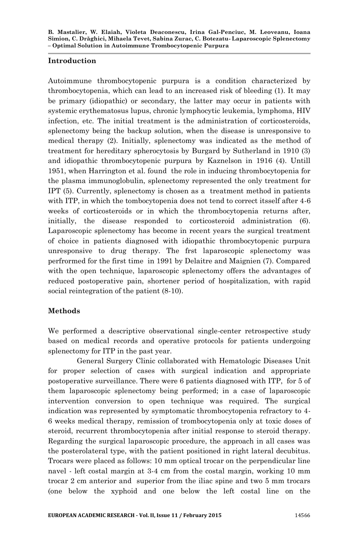### **Introduction**

Autoimmune thrombocytopenic purpura is a condition characterized by thrombocytopenia, which can lead to an increased risk of bleeding (1). It may be primary (idiopathic) or secondary, the latter may occur in patients with systemic erythematosus lupus, chronic lymphocytic leukemia, lymphoma, HIV infection, etc. The initial treatment is the administration of corticosteroids, splenectomy being the backup solution, when the disease is unresponsive to medical therapy (2). Initially, splenectomy was indicated as the method of treatment for hereditary spherocytosis by Burgard by Sutherland in 1910 (3) and idiopathic thrombocytopenic purpura by Kaznelson in 1916 (4). Untill 1951, when Harrington et al. found the role in inducing thrombocytopenia for the plasma immunoglobulin, splenectomy represented the only treatment for IPT (5). Currently, splenectomy is chosen as a treatment method in patients with ITP, in which the tombocytopenia does not tend to correct itsself after 4-6 weeks of corticosteroids or in which the thrombocytopenia returns after, initially, the disease responded to corticosteroid administration (6). Laparoscopic splenectomy has become in recent years the surgical treatment of choice in patients diagnosed with idiopathic thrombocytopenic purpura unresponsive to drug therapy. The frst laparoscopic splenectomy was perfrormed for the first time in 1991 by Delaitre and Maignien (7). Compared with the open technique, laparoscopic splenectomy offers the advantages of reduced postoperative pain, shortener period of hospitalization, with rapid social reintegration of the patient (8-10).

### **Methods**

We performed a descriptive observational single-center retrospective study based on medical records and operative protocols for patients undergoing splenectomy for ITP in the past year.

General Surgery Clinic collaborated with Hematologic Diseases Unit for proper selection of cases with surgical indication and appropriate postoperative surveillance. There were 6 patients diagnosed with ITP, for 5 of them laparoscopic splenectomy being performed; in a case of laparoscopic intervention conversion to open technique was required. The surgical indication was represented by symptomatic thrombocytopenia refractory to 4- 6 weeks medical therapy, remission of trombocytopenia only at toxic doses of steroid, recurrent thrombocytopenia after initial response to steroid therapy. Regarding the surgical laparoscopic procedure, the approach in all cases was the posterolateral type, with the patient positioned in right lateral decubitus. Trocars were placed as follows: 10 mm optical trocar on the perpendicular line navel - left costal margin at 3-4 cm from the costal margin, working 10 mm trocar 2 cm anterior and superior from the iliac spine and two 5 mm trocars (one below the xyphoid and one below the left costal line on the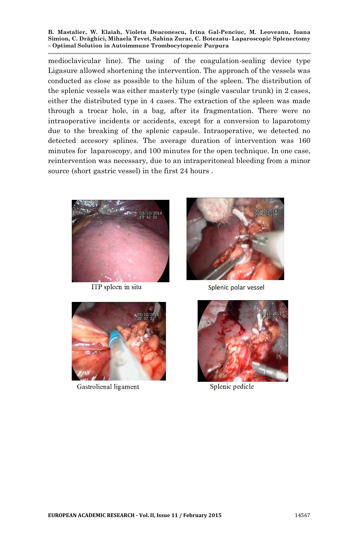medioclavicular line). The using of the coagulation-sealing device type Ligasure allowed shortening the intervention. The approach of the vessels was conducted as close as possible to the hilum of the spleen. The distribution of the splenic vessels was either masterly type (single vascular trunk) in 2 cases, either the distributed type in 4 cases. The extraction of the spleen was made through a trocar hole, in a bag, after its fragmentation. There were no intraoperative incidents or accidents, except for a conversion to laparotomy due to the breaking of the splenic capsule. Intraoperative, we detected no detected accesory splines. The average duration of intervention was 160 minutes for laparoscopy, and 100 minutes for the open technique. In one case, reintervention was necessary, due to an intraperitoneal bleeding from a minor source (short gastric vessel) in the first 24 hours .



ITP spleen in situ



Splenic polar vessel



Gastrolienal ligament



Splenic pedicle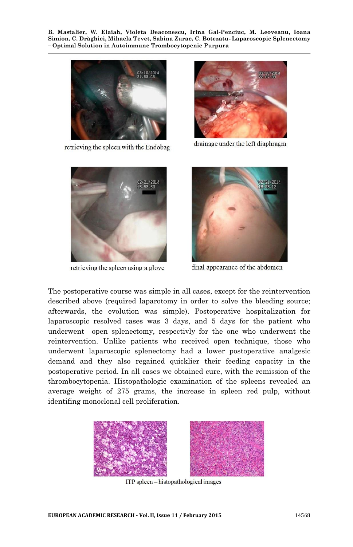

retrieving the spleen with the Endobag



drainage under the left diaphragm



retrieving the spleen using a glove



final appearance of the abdomen

The postoperative course was simple in all cases, except for the reintervention described above (required laparotomy in order to solve the bleeding source; afterwards, the evolution was simple). Postoperative hospitalization for laparoscopic resolved cases was 3 days, and 5 days for the patient who underwent open splenectomy, respectivly for the one who underwent the reintervention. Unlike patients who received open technique, those who underwent laparoscopic splenectomy had a lower postoperative analgesic demand and they also regained quicklier their feeding capacity in the postoperative period. In all cases we obtained cure, with the remission of the thrombocytopenia. Histopathologic examination of the spleens revealed an average weight of 275 grams, the increase in spleen red pulp, without identifing monoclonal cell proliferation.



ITP spleen - histopathological images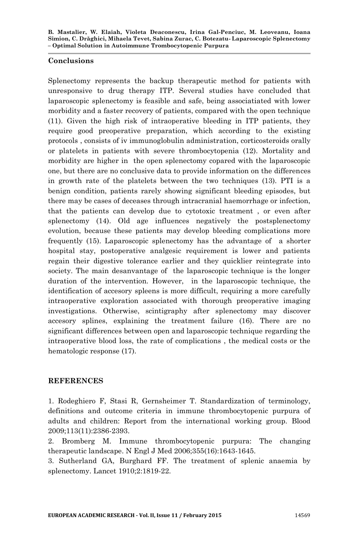### **Conclusions**

Splenectomy represents the backup therapeutic method for patients with unresponsive to drug therapy ITP. Several studies have concluded that laparoscopic splenectomy is feasible and safe, being associatiated with lower morbidity and a faster recovery of patients, compared with the open technique (11). Given the high risk of intraoperative bleeding in ITP patients, they require good preoperative preparation, which according to the existing protocols , consists of iv immunoglobulin administration, corticosteroids orally or platelets in patients with severe thrombocytopenia (12). Mortality and morbidity are higher in the open splenectomy copared with the laparoscopic one, but there are no conclusive data to provide information on the differences in growth rate of the platelets between the two techniques (13). PTI is a benign condition, patients rarely showing significant bleeding episodes, but there may be cases of deceases through intracranial haemorrhage or infection, that the patients can develop due to cytotoxic treatment , or even after splenectomy (14). Old age influences negatively the postsplenectomy evolution, because these patients may develop bleeding complications more frequently (15). Laparoscopic splenectomy has the advantage of a shorter hospital stay, postoperative analgesic requirement is lower and patients regain their digestive tolerance earlier and they quicklier reintegrate into society. The main desanvantage of the laparoscopic technique is the longer duration of the intervention. However, in the laparoscopic technique, the identification of accesory spleens is more difficult, requiring a more carefully intraoperative exploration associated with thorough preoperative imaging investigations. Otherwise, scintigraphy after splenectomy may discover accesory splines, explaining the treatment failure (16). There are no significant differences between open and laparoscopic technique regarding the intraoperative blood loss, the rate of complications , the medical costs or the hematologic response (17).

## **REFERENCES**

1. Rodeghiero F, Stasi R, Gernsheimer T. Standardization of terminology, definitions and outcome criteria in immune thrombocytopenic purpura of adults and children: Report from the international working group. Blood 2009;113(11):2386-2393.

2. Bromberg M. Immune thrombocytopenic purpura: The changing therapeutic landscape. N Engl J Med 2006;355(16):1643-1645.

3. Sutherland GA, Burghard FF. The treatment of splenic anaemia by splenectomy. Lancet 1910;2:1819-22.